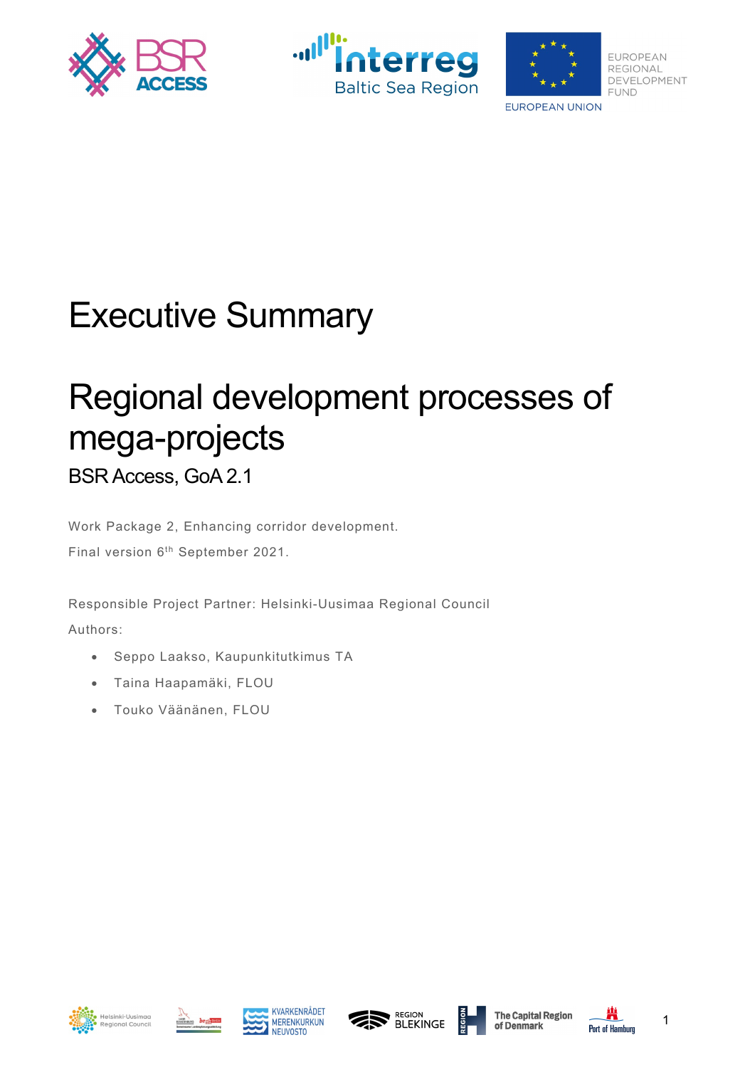





# Executive Summary

# Regional development processes of mega-projects

BSR Access, GoA 2.1

Work Package 2, Enhancing corridor development. Final version 6<sup>th</sup> September 2021.

Responsible Project Partner: Helsinki-Uusimaa Regional Council Authors:

- Seppo Laakso, Kaupunkitutkimus TA
- Taina Haapamäki, FLOU
- Touko Väänänen, FLOU













1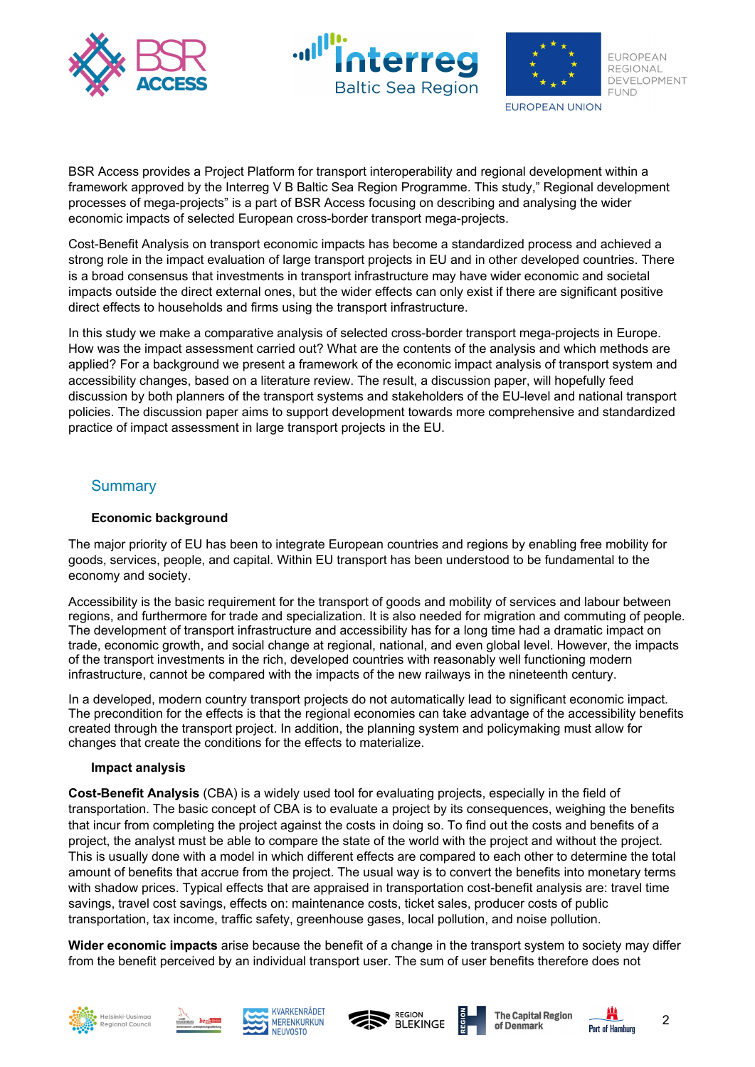





BSR Access provides a Project Platform for transport interoperability and regional development within a framework approved by the Interreg V B Baltic Sea Region Programme. This study," Regional development processes of mega-projects" is a part of BSR Access focusing on describing and analysing the wider economic impacts of selected European cross-border transport mega-projects.

Cost-Benefit Analysis on transport economic impacts has become a standardized process and achieved a strong role in the impact evaluation of large transport projects in EU and in other developed countries. There is a broad consensus that investments in transport infrastructure may have wider economic and societal impacts outside the direct external ones, but the wider effects can only exist if there are significant positive direct effects to households and firms using the transport infrastructure.

In this study we make a comparative analysis of selected cross-border transport mega-projects in Europe. How was the impact assessment carried out? What are the contents of the analysis and which methods are applied? For a background we present a framework of the economic impact analysis of transport system and accessibility changes, based on a literature review. The result, a discussion paper, will hopefully feed discussion by both planners of the transport systems and stakeholders of the EU-level and national transport policies. The discussion paper aims to support development towards more comprehensive and standardized practice of impact assessment in large transport projects in the EU.

## **Summary**

#### **Economic background**

The major priority of EU has been to integrate European countries and regions by enabling free mobility for goods, services, people, and capital. Within EU transport has been understood to be fundamental to the economy and society.

Accessibility is the basic requirement for the transport of goods and mobility of services and labour between regions, and furthermore for trade and specialization. It is also needed for migration and commuting of people. The development of transport infrastructure and accessibility has for a long time had a dramatic impact on trade, economic growth, and social change at regional, national, and even global level. However, the impacts of the transport investments in the rich, developed countries with reasonably well functioning modern infrastructure, cannot be compared with the impacts of the new railways in the nineteenth century.

In a developed, modern country transport projects do not automatically lead to significant economic impact. The precondition for the effects is that the regional economies can take advantage of the accessibility benefits created through the transport project. In addition, the planning system and policymaking must allow for changes that create the conditions for the effects to materialize.

#### **Impact analysis**

**Cost-Benefit Analysis** (CBA) is a widely used tool for evaluating projects, especially in the field of transportation. The basic concept of CBA is to evaluate a project by its consequences, weighing the benefits that incur from completing the project against the costs in doing so. To find out the costs and benefits of a project, the analyst must be able to compare the state of the world with the project and without the project. This is usually done with a model in which different effects are compared to each other to determine the total amount of benefits that accrue from the project. The usual way is to convert the benefits into monetary terms with shadow prices. Typical effects that are appraised in transportation cost-benefit analysis are: travel time savings, travel cost savings, effects on: maintenance costs, ticket sales, producer costs of public transportation, tax income, traffic safety, greenhouse gases, local pollution, and noise pollution.

**Wider economic impacts** arise because the benefit of a change in the transport system to society may differ from the benefit perceived by an individual transport user. The sum of user benefits therefore does not













2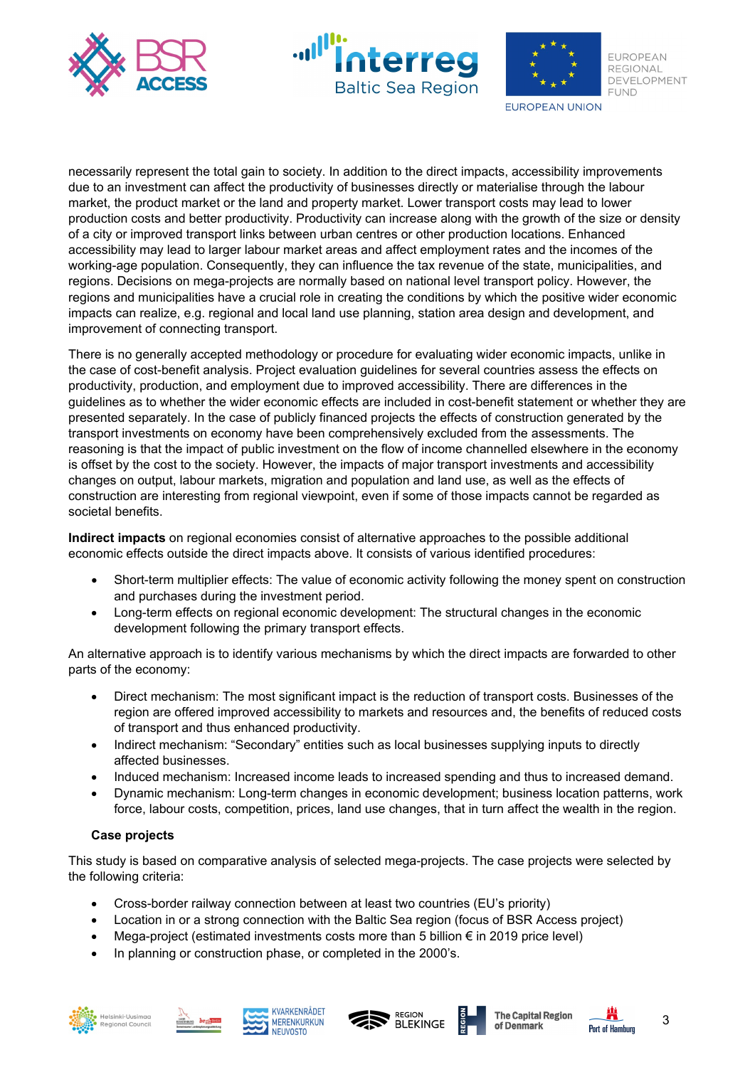





**EUROPEAN** REGIONAL DEVELOPMENT **FUND** 

**EUROPEAN UNION** 

necessarily represent the total gain to society. In addition to the direct impacts, accessibility improvements due to an investment can affect the productivity of businesses directly or materialise through the labour market, the product market or the land and property market. Lower transport costs may lead to lower production costs and better productivity. Productivity can increase along with the growth of the size or density of a city or improved transport links between urban centres or other production locations. Enhanced accessibility may lead to larger labour market areas and affect employment rates and the incomes of the working-age population. Consequently, they can influence the tax revenue of the state, municipalities, and regions. Decisions on mega-projects are normally based on national level transport policy. However, the regions and municipalities have a crucial role in creating the conditions by which the positive wider economic impacts can realize, e.g. regional and local land use planning, station area design and development, and improvement of connecting transport.

There is no generally accepted methodology or procedure for evaluating wider economic impacts, unlike in the case of cost-benefit analysis. Project evaluation guidelines for several countries assess the effects on productivity, production, and employment due to improved accessibility. There are differences in the guidelines as to whether the wider economic effects are included in cost-benefit statement or whether they are presented separately. In the case of publicly financed projects the effects of construction generated by the transport investments on economy have been comprehensively excluded from the assessments. The reasoning is that the impact of public investment on the flow of income channelled elsewhere in the economy is offset by the cost to the society. However, the impacts of major transport investments and accessibility changes on output, labour markets, migration and population and land use, as well as the effects of construction are interesting from regional viewpoint, even if some of those impacts cannot be regarded as societal benefits.

**Indirect impacts** on regional economies consist of alternative approaches to the possible additional economic effects outside the direct impacts above. It consists of various identified procedures:

- Short-term multiplier effects: The value of economic activity following the money spent on construction and purchases during the investment period.
- Long-term effects on regional economic development: The structural changes in the economic development following the primary transport effects.

An alternative approach is to identify various mechanisms by which the direct impacts are forwarded to other parts of the economy:

- Direct mechanism: The most significant impact is the reduction of transport costs. Businesses of the region are offered improved accessibility to markets and resources and, the benefits of reduced costs of transport and thus enhanced productivity.
- Indirect mechanism: "Secondary" entities such as local businesses supplying inputs to directly affected businesses.
- Induced mechanism: Increased income leads to increased spending and thus to increased demand.
- Dynamic mechanism: Long-term changes in economic development; business location patterns, work force, labour costs, competition, prices, land use changes, that in turn affect the wealth in the region.

### **Case projects**

This study is based on comparative analysis of selected mega-projects. The case projects were selected by the following criteria:

- Cross-border railway connection between at least two countries (EU's priority)
- Location in or a strong connection with the Baltic Sea region (focus of BSR Access project)
- Mega-project (estimated investments costs more than 5 billion  $\epsilon$  in 2019 price level)
- In planning or construction phase, or completed in the 2000's.











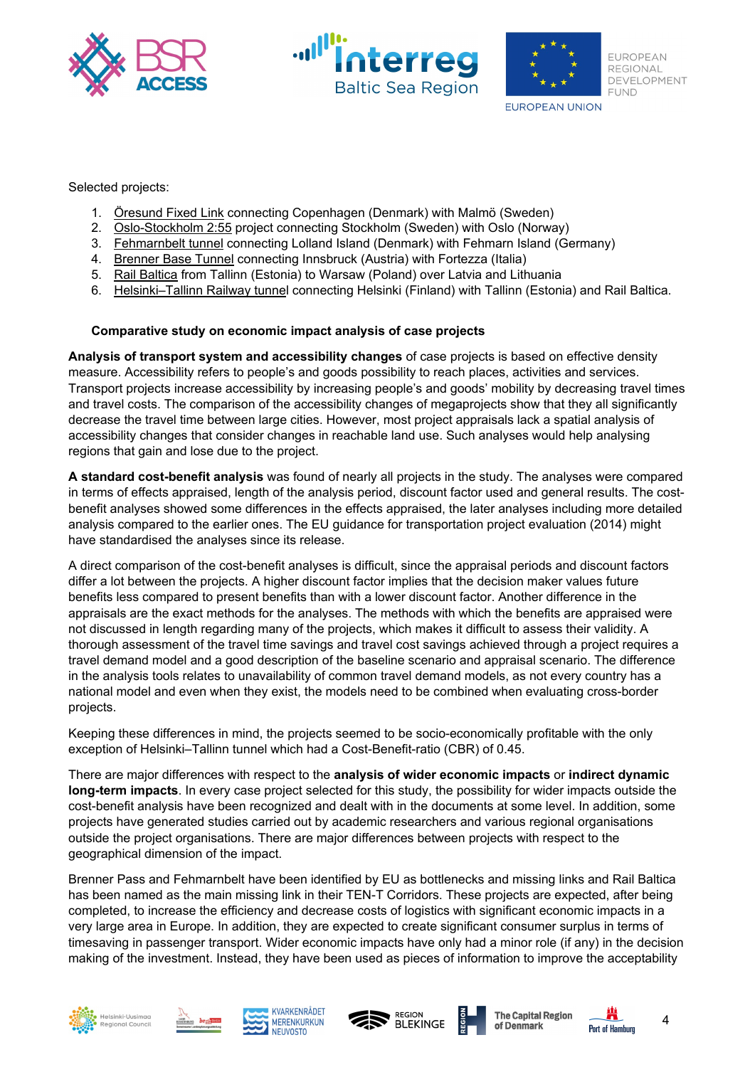





Selected projects:

- 1. Öresund Fixed Link connecting Copenhagen (Denmark) with Malmö (Sweden)
- 2. Oslo-Stockholm 2:55 project connecting Stockholm (Sweden) with Oslo (Norway)
- 3. Fehmarnbelt tunnel connecting Lolland Island (Denmark) with Fehmarn Island (Germany)
- 4. Brenner Base Tunnel connecting Innsbruck (Austria) with Fortezza (Italia)
- 5. Rail Baltica from Tallinn (Estonia) to Warsaw (Poland) over Latvia and Lithuania
- 6. Helsinki–Tallinn Railway tunnel connecting Helsinki (Finland) with Tallinn (Estonia) and Rail Baltica.

#### **Comparative study on economic impact analysis of case projects**

**Analysis of transport system and accessibility changes** of case projects is based on effective density measure. Accessibility refers to people's and goods possibility to reach places, activities and services. Transport projects increase accessibility by increasing people's and goods' mobility by decreasing travel times and travel costs. The comparison of the accessibility changes of megaprojects show that they all significantly decrease the travel time between large cities. However, most project appraisals lack a spatial analysis of accessibility changes that consider changes in reachable land use. Such analyses would help analysing regions that gain and lose due to the project.

**A standard cost-benefit analysis** was found of nearly all projects in the study. The analyses were compared in terms of effects appraised, length of the analysis period, discount factor used and general results. The costbenefit analyses showed some differences in the effects appraised, the later analyses including more detailed analysis compared to the earlier ones. The EU guidance for transportation project evaluation (2014) might have standardised the analyses since its release.

A direct comparison of the cost-benefit analyses is difficult, since the appraisal periods and discount factors differ a lot between the projects. A higher discount factor implies that the decision maker values future benefits less compared to present benefits than with a lower discount factor. Another difference in the appraisals are the exact methods for the analyses. The methods with which the benefits are appraised were not discussed in length regarding many of the projects, which makes it difficult to assess their validity. A thorough assessment of the travel time savings and travel cost savings achieved through a project requires a travel demand model and a good description of the baseline scenario and appraisal scenario. The difference in the analysis tools relates to unavailability of common travel demand models, as not every country has a national model and even when they exist, the models need to be combined when evaluating cross-border projects.

Keeping these differences in mind, the projects seemed to be socio-economically profitable with the only exception of Helsinki–Tallinn tunnel which had a Cost-Benefit-ratio (CBR) of 0.45.

There are major differences with respect to the **analysis of wider economic impacts** or **indirect dynamic long-term impacts**. In every case project selected for this study, the possibility for wider impacts outside the cost-benefit analysis have been recognized and dealt with in the documents at some level. In addition, some projects have generated studies carried out by academic researchers and various regional organisations outside the project organisations. There are major differences between projects with respect to the geographical dimension of the impact.

Brenner Pass and Fehmarnbelt have been identified by EU as bottlenecks and missing links and Rail Baltica has been named as the main missing link in their TEN-T Corridors. These projects are expected, after being completed, to increase the efficiency and decrease costs of logistics with significant economic impacts in a very large area in Europe. In addition, they are expected to create significant consumer surplus in terms of timesaving in passenger transport. Wider economic impacts have only had a minor role (if any) in the decision making of the investment. Instead, they have been used as pieces of information to improve the acceptability













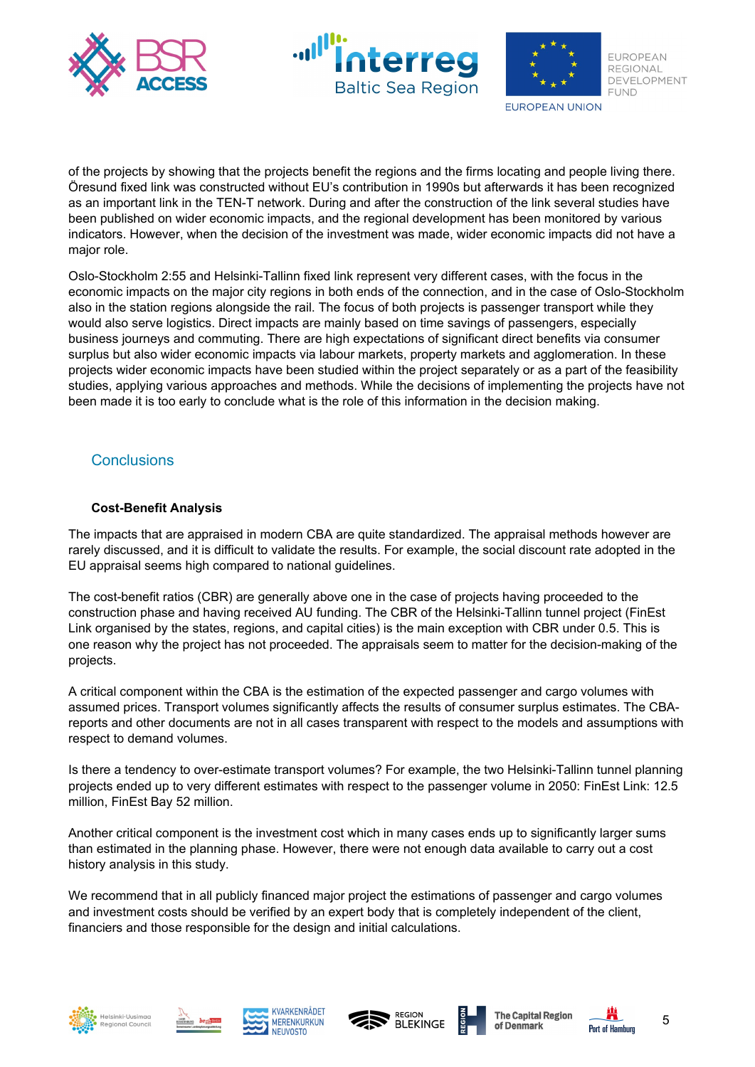





**EUROPEAN** REGIONAL DEVELOPMENT **FUND** 

**EUROPEAN UNION** 

of the projects by showing that the projects benefit the regions and the firms locating and people living there. Öresund fixed link was constructed without EU's contribution in 1990s but afterwards it has been recognized as an important link in the TEN-T network. During and after the construction of the link several studies have been published on wider economic impacts, and the regional development has been monitored by various indicators. However, when the decision of the investment was made, wider economic impacts did not have a major role.

Oslo-Stockholm 2:55 and Helsinki-Tallinn fixed link represent very different cases, with the focus in the economic impacts on the major city regions in both ends of the connection, and in the case of Oslo-Stockholm also in the station regions alongside the rail. The focus of both projects is passenger transport while they would also serve logistics. Direct impacts are mainly based on time savings of passengers, especially business journeys and commuting. There are high expectations of significant direct benefits via consumer surplus but also wider economic impacts via labour markets, property markets and agglomeration. In these projects wider economic impacts have been studied within the project separately or as a part of the feasibility studies, applying various approaches and methods. While the decisions of implementing the projects have not been made it is too early to conclude what is the role of this information in the decision making.

## **Conclusions**

## **Cost-Benefit Analysis**

The impacts that are appraised in modern CBA are quite standardized. The appraisal methods however are rarely discussed, and it is difficult to validate the results. For example, the social discount rate adopted in the EU appraisal seems high compared to national guidelines.

The cost-benefit ratios (CBR) are generally above one in the case of projects having proceeded to the construction phase and having received AU funding. The CBR of the Helsinki-Tallinn tunnel project (FinEst Link organised by the states, regions, and capital cities) is the main exception with CBR under 0.5. This is one reason why the project has not proceeded. The appraisals seem to matter for the decision-making of the projects.

A critical component within the CBA is the estimation of the expected passenger and cargo volumes with assumed prices. Transport volumes significantly affects the results of consumer surplus estimates. The CBAreports and other documents are not in all cases transparent with respect to the models and assumptions with respect to demand volumes.

Is there a tendency to over-estimate transport volumes? For example, the two Helsinki-Tallinn tunnel planning projects ended up to very different estimates with respect to the passenger volume in 2050: FinEst Link: 12.5 million, FinEst Bay 52 million.

Another critical component is the investment cost which in many cases ends up to significantly larger sums than estimated in the planning phase. However, there were not enough data available to carry out a cost history analysis in this study.

We recommend that in all publicly financed major project the estimations of passenger and cargo volumes and investment costs should be verified by an expert body that is completely independent of the client, financiers and those responsible for the design and initial calculations.











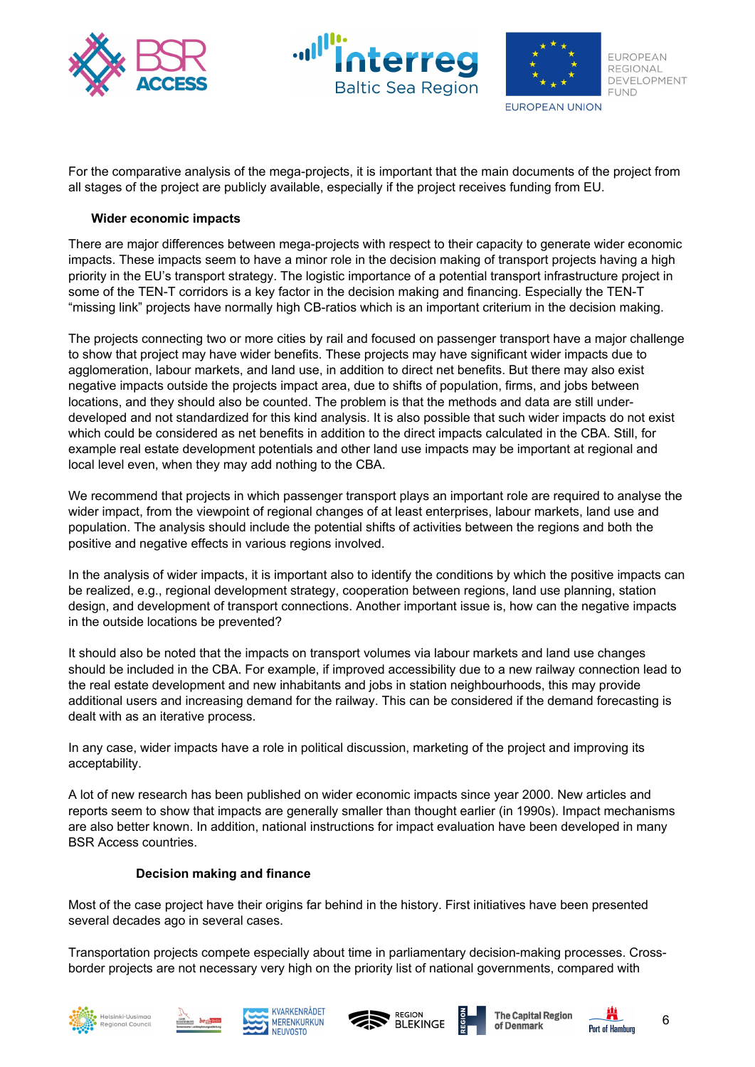





For the comparative analysis of the mega-projects, it is important that the main documents of the project from all stages of the project are publicly available, especially if the project receives funding from EU.

#### **Wider economic impacts**

There are major differences between mega-projects with respect to their capacity to generate wider economic impacts. These impacts seem to have a minor role in the decision making of transport projects having a high priority in the EU's transport strategy. The logistic importance of a potential transport infrastructure project in some of the TEN-T corridors is a key factor in the decision making and financing. Especially the TEN-T "missing link" projects have normally high CB-ratios which is an important criterium in the decision making.

The projects connecting two or more cities by rail and focused on passenger transport have a major challenge to show that project may have wider benefits. These projects may have significant wider impacts due to agglomeration, labour markets, and land use, in addition to direct net benefits. But there may also exist negative impacts outside the projects impact area, due to shifts of population, firms, and jobs between locations, and they should also be counted. The problem is that the methods and data are still underdeveloped and not standardized for this kind analysis. It is also possible that such wider impacts do not exist which could be considered as net benefits in addition to the direct impacts calculated in the CBA. Still, for example real estate development potentials and other land use impacts may be important at regional and local level even, when they may add nothing to the CBA.

We recommend that projects in which passenger transport plays an important role are required to analyse the wider impact, from the viewpoint of regional changes of at least enterprises, labour markets, land use and population. The analysis should include the potential shifts of activities between the regions and both the positive and negative effects in various regions involved.

In the analysis of wider impacts, it is important also to identify the conditions by which the positive impacts can be realized, e.g., regional development strategy, cooperation between regions, land use planning, station design, and development of transport connections. Another important issue is, how can the negative impacts in the outside locations be prevented?

It should also be noted that the impacts on transport volumes via labour markets and land use changes should be included in the CBA. For example, if improved accessibility due to a new railway connection lead to the real estate development and new inhabitants and jobs in station neighbourhoods, this may provide additional users and increasing demand for the railway. This can be considered if the demand forecasting is dealt with as an iterative process.

In any case, wider impacts have a role in political discussion, marketing of the project and improving its acceptability.

A lot of new research has been published on wider economic impacts since year 2000. New articles and reports seem to show that impacts are generally smaller than thought earlier (in 1990s). Impact mechanisms are also better known. In addition, national instructions for impact evaluation have been developed in many BSR Access countries.

#### **Decision making and finance**

Most of the case project have their origins far behind in the history. First initiatives have been presented several decades ago in several cases.

Transportation projects compete especially about time in parliamentary decision-making processes. Crossborder projects are not necessary very high on the priority list of national governments, compared with













6